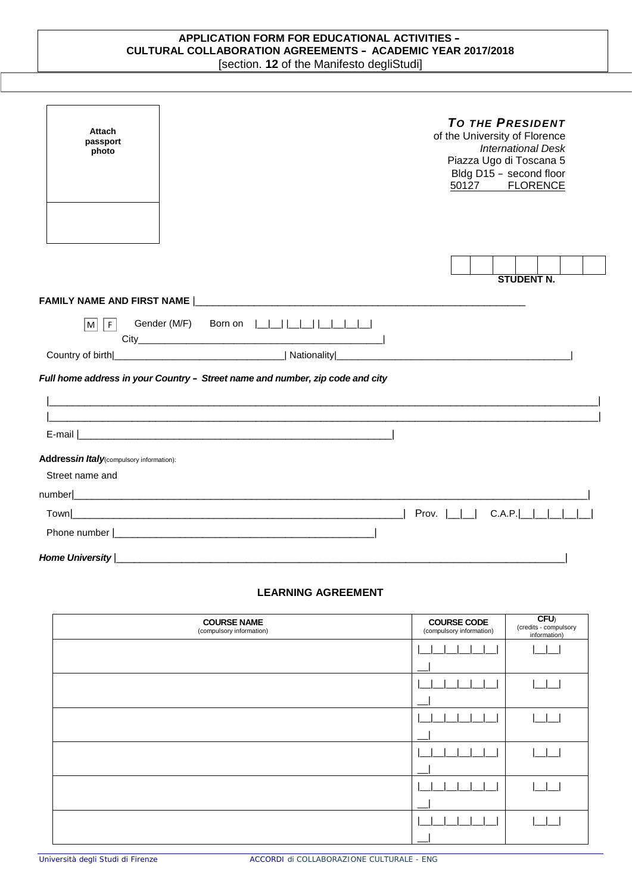## **APPLICATION FORM FOR EDUCATIONAL ACTIVITIES – CULTURAL COLLABORATION AGREEMENTS – ACADEMIC YEAR 2017/2018** [section. **12** of the Manifesto degliStudi]

| <b>Attach</b><br>passport<br>photo                                                                     |                          |  |  |  | <b>TO THE PRESIDENT</b><br>of the University of Florence<br><b>International Desk</b><br>Piazza Ugo di Toscana 5<br>Bldg D15 - second floor<br>50127 FLORENCE |                   |  |
|--------------------------------------------------------------------------------------------------------|--------------------------|--|--|--|---------------------------------------------------------------------------------------------------------------------------------------------------------------|-------------------|--|
|                                                                                                        |                          |  |  |  |                                                                                                                                                               | <b>STUDENT N.</b> |  |
| M <br>$\mid$ F $\mid$<br>Full home address in your Country - Street name and number, zip code and city | Gender (M/F) Born on $ $ |  |  |  |                                                                                                                                                               |                   |  |
|                                                                                                        |                          |  |  |  |                                                                                                                                                               |                   |  |
|                                                                                                        |                          |  |  |  |                                                                                                                                                               |                   |  |
| Addressin Italy(compulsory information):                                                               |                          |  |  |  |                                                                                                                                                               |                   |  |
| Street name and                                                                                        |                          |  |  |  |                                                                                                                                                               |                   |  |
|                                                                                                        |                          |  |  |  |                                                                                                                                                               |                   |  |
|                                                                                                        |                          |  |  |  |                                                                                                                                                               |                   |  |
|                                                                                                        |                          |  |  |  |                                                                                                                                                               |                   |  |
| Home University                                                                                        |                          |  |  |  |                                                                                                                                                               |                   |  |

## **LEARNING AGREEMENT**

| <b>COURSE NAME</b><br>(compulsory information) | <b>COURSE CODE</b><br>(compulsory information) | CFU<br>(credits - compulsory<br>information) |
|------------------------------------------------|------------------------------------------------|----------------------------------------------|
|                                                |                                                |                                              |
|                                                |                                                |                                              |
|                                                |                                                |                                              |
|                                                |                                                |                                              |
|                                                |                                                |                                              |
|                                                |                                                |                                              |
|                                                |                                                |                                              |
|                                                |                                                |                                              |
|                                                |                                                |                                              |
|                                                |                                                |                                              |
|                                                |                                                |                                              |
|                                                | $-$                                            |                                              |